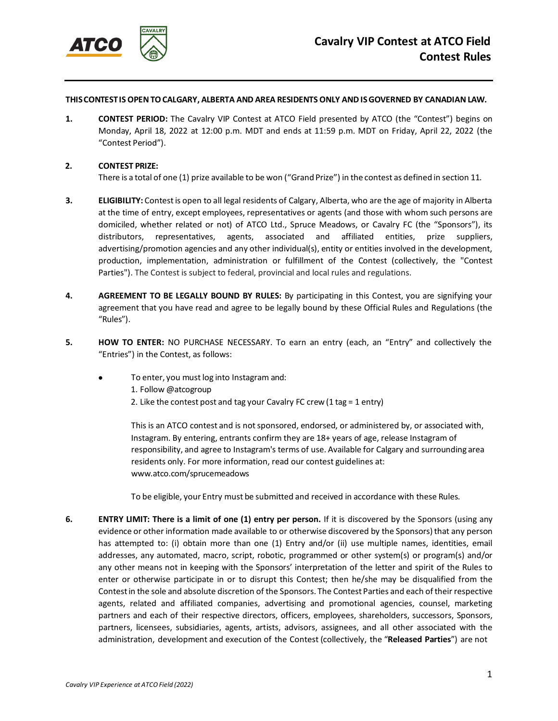

## **THISCONTESTIS OPENTOCALGARY, ALBERTA AND AREA RESIDENTS ONLY ANDISGOVERNED BY CANADIANLAW.**

**1. CONTEST PERIOD:** The Cavalry VIP Contest at ATCO Field presented by ATCO (the "Contest") begins on Monday, April 18, 2022 at 12:00 p.m. MDT and ends at 11:59 p.m. MDT on Friday, April 22, 2022 (the "Contest Period").

## **2. CONTEST PRIZE:**

There is a total of one (1) prize available to be won ("Grand Prize") in the contest as defined in section 11.

- **3. ELIGIBILITY:** Contestis open to all legal residents of Calgary, Alberta, who are the age of majority in Alberta at the time of entry, except employees, representatives or agents (and those with whom such persons are domiciled, whether related or not) of ATCO Ltd., Spruce Meadows, or Cavalry FC (the "Sponsors"), its distributors, representatives, agents, associated and affiliated entities, prize suppliers, advertising/promotion agencies and any other individual(s), entity or entities involved in the development, production, implementation, administration or fulfillment of the Contest (collectively, the "Contest Parties"). The Contest is subject to federal, provincial and local rules and regulations.
- **4. AGREEMENT TO BE LEGALLY BOUND BY RULES:** By participating in this Contest, you are signifying your agreement that you have read and agree to be legally bound by these Official Rules and Regulations (the "Rules").
- **5. HOW TO ENTER:** NO PURCHASE NECESSARY. To earn an entry (each, an "Entry" and collectively the "Entries") in the Contest, as follows:
	- To enter, you must log into Instagram and:
		- 1. Follow @atcogroup
		- 2. Like the contest post and tag your Cavalry FC crew(1 tag = 1 entry)

This is an ATCO contest and is not sponsored, endorsed, or administered by, or associated with, Instagram. By entering, entrants confirm they are 18+ years of age, release Instagram of responsibility, and agree to Instagram's terms of use. Available for Calgary and surrounding area residents only. For more information, read our contest guidelines at: [www.atco.com/sprucemeadows](http://www.atco.com/sprucemeadows)

To be eligible, your Entry must be submitted and received in accordance with these Rules.

**6. ENTRY LIMIT: There is a limit of one (1) entry per person.** If it is discovered by the Sponsors (using any evidence or other information made available to or otherwise discovered by the Sponsors) that any person has attempted to: (i) obtain more than one (1) Entry and/or (ii) use multiple names, identities, email addresses, any automated, macro, script, robotic, programmed or other system(s) or program(s) and/or any other means not in keeping with the Sponsors' interpretation of the letter and spirit of the Rules to enter or otherwise participate in or to disrupt this Contest; then he/she may be disqualified from the Contest in the sole and absolute discretion of the Sponsors. The Contest Parties and each of their respective agents, related and affiliated companies, advertising and promotional agencies, counsel, marketing partners and each of their respective directors, officers, employees, shareholders, successors, Sponsors, partners, licensees, subsidiaries, agents, artists, advisors, assignees, and all other associated with the administration, development and execution of the Contest (collectively, the "**Released Parties**") are not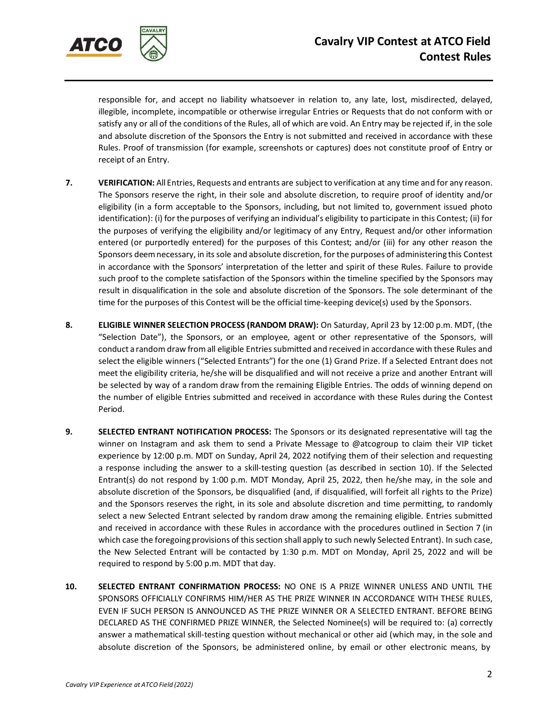

responsible for, and accept no liability whatsoever in relation to, any late, lost, misdirected, delayed, illegible, incomplete, incompatible or otherwise irregular Entries or Requests that do not conform with or satisfy any or all of the conditions of the Rules, all of which are void. An Entry may be rejected if, in the sole and absolute discretion of the Sponsors the Entry is not submitted and received in accordance with these Rules. Proof of transmission (for example, screenshots or captures) does not constitute proof of Entry or receipt of an Entry.

- **7. VERIFICATION:** All Entries, Requests and entrants are subject to verification at any time and for any reason. The Sponsors reserve the right, in their sole and absolute discretion, to require proof of identity and/or eligibility (in a form acceptable to the Sponsors, including, but not limited to, government issued photo identification): (i) for the purposes of verifying an individual's eligibility to participate in this Contest; (ii) for the purposes of verifying the eligibility and/or legitimacy of any Entry, Request and/or other information entered (or purportedly entered) for the purposes of this Contest; and/or (iii) for any other reason the Sponsors deemnecessary, in itssole and absolute discretion, for the purposes of administering this Contest in accordance with the Sponsors' interpretation of the letter and spirit of these Rules. Failure to provide such proof to the complete satisfaction of the Sponsors within the timeline specified by the Sponsors may result in disqualification in the sole and absolute discretion of the Sponsors. The sole determinant of the time for the purposes of this Contest will be the official time-keeping device(s) used by the Sponsors.
- **8. ELIGIBLE WINNER SELECTION PROCESS (RANDOM DRAW):** On Saturday, April 23 by 12:00 p.m. MDT, (the "Selection Date"), the Sponsors, or an employee, agent or other representative of the Sponsors, will conduct a random draw from all eligible Entries submitted and received in accordance with these Rules and select the eligible winners ("Selected Entrants") for the one (1) Grand Prize. If a Selected Entrant does not meet the eligibility criteria, he/she will be disqualified and will not receive a prize and another Entrant will be selected by way of a random draw from the remaining Eligible Entries. The odds of winning depend on the number of eligible Entries submitted and received in accordance with these Rules during the Contest Period.
- **9. SELECTED ENTRANT NOTIFICATION PROCESS:** The Sponsors or its designated representative will tag the winner on Instagram and ask them to send a Private Message to @atcogroup to claim their VIP ticket experience by 12:00 p.m. MDT on Sunday, April 24, 2022 notifying them of their selection and requesting a response including the answer to a skill-testing question (as described in section 10). If the Selected Entrant(s) do not respond by 1:00 p.m. MDT Monday, April 25, 2022, then he/she may, in the sole and absolute discretion of the Sponsors, be disqualified (and, if disqualified, will forfeit all rights to the Prize) and the Sponsors reserves the right, in its sole and absolute discretion and time permitting, to randomly select a new Selected Entrant selected by random draw among the remaining eligible. Entries submitted and received in accordance with these Rules in accordance with the procedures outlined in Section 7 (in which case the foregoing provisions of this section shall apply to such newly Selected Entrant). In such case, the New Selected Entrant will be contacted by 1:30 p.m. MDT on Monday, April 25, 2022 and will be required to respond by 5:00 p.m. MDT that day.
- **10. SELECTED ENTRANT CONFIRMATION PROCESS:** NO ONE IS A PRIZE WINNER UNLESS AND UNTIL THE SPONSORS OFFICIALLY CONFIRMS HIM/HER AS THE PRIZE WINNER IN ACCORDANCE WITH THESE RULES, EVEN IF SUCH PERSON IS ANNOUNCED AS THE PRIZE WINNER OR A SELECTED ENTRANT. BEFORE BEING DECLARED AS THE CONFIRMED PRIZE WINNER, the Selected Nominee(s) will be required to: (a) correctly answer a mathematical skill-testing question without mechanical or other aid (which may, in the sole and absolute discretion of the Sponsors, be administered online, by email or other electronic means, by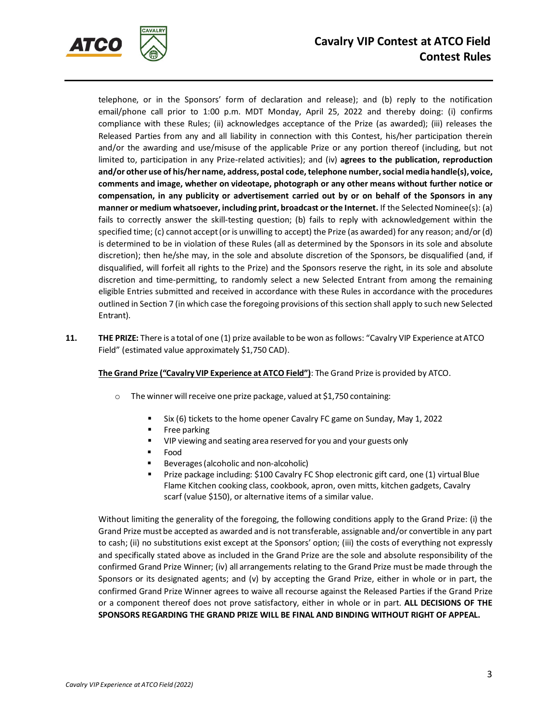

telephone, or in the Sponsors' form of declaration and release); and (b) reply to the notification email/phone call prior to 1:00 p.m. MDT Monday, April 25, 2022 and thereby doing: (i) confirms compliance with these Rules; (ii) acknowledges acceptance of the Prize (as awarded); (iii) releases the Released Parties from any and all liability in connection with this Contest, his/her participation therein and/or the awarding and use/misuse of the applicable Prize or any portion thereof (including, but not limited to, participation in any Prize-related activities); and (iv) **agrees to the publication, reproduction and/or other use of his/her name, address, postal code,telephone number,social media handle(s), voice, comments and image, whether on videotape, photograph or any other means without further notice or compensation, in any publicity or advertisement carried out by or on behalf of the Sponsors in any manner or medium whatsoever, including print, broadcast or the Internet.** If the Selected Nominee(s): (a) fails to correctly answer the skill-testing question; (b) fails to reply with acknowledgement within the specified time; (c) cannot accept(or is unwilling to accept) the Prize (as awarded) for any reason; and/or (d) is determined to be in violation of these Rules (all as determined by the Sponsors in its sole and absolute discretion); then he/she may, in the sole and absolute discretion of the Sponsors, be disqualified (and, if disqualified, will forfeit all rights to the Prize) and the Sponsors reserve the right, in its sole and absolute discretion and time-permitting, to randomly select a new Selected Entrant from among the remaining eligible Entries submitted and received in accordance with these Rules in accordance with the procedures outlined in Section 7 (in which case the foregoing provisions of this section shall apply to such new Selected Entrant).

**11. THE PRIZE:** There is a total of one (1) prize available to be won as follows: "Cavalry VIP Experience atATCO Field" (estimated value approximately \$1,750 CAD).

## **The Grand Prize ("CavalryVIP Experience at ATCO Field")**: The Grand Prize is provided by ATCO.

- $\circ$  The winner will receive one prize package, valued at \$1,750 containing:
	- Six (6) tickets to the home opener Cavalry FC game on Sunday, May 1, 2022
	- **Free parking**
	- VIP viewing and seating area reserved for you and your guests only
	- Food
	- Beverages(alcoholic and non-alcoholic)
	- Prize package including: \$100 Cavalry FC Shop electronic gift card, one (1) virtual Blue Flame Kitchen cooking class, cookbook, apron, oven mitts, kitchen gadgets, Cavalry scarf (value \$150), or alternative items of a similar value.

Without limiting the generality of the foregoing, the following conditions apply to the Grand Prize: (i) the Grand Prize mustbe accepted as awarded and is nottransferable, assignable and/or convertible in any part to cash; (ii) no substitutions exist except at the Sponsors' option; (iii) the costs of everything not expressly and specifically stated above as included in the Grand Prize are the sole and absolute responsibility of the confirmed Grand Prize Winner; (iv) all arrangements relating to the Grand Prize must be made through the Sponsors or its designated agents; and (v) by accepting the Grand Prize, either in whole or in part, the confirmed Grand Prize Winner agrees to waive all recourse against the Released Parties if the Grand Prize or a component thereof does not prove satisfactory, either in whole or in part. **ALL DECISIONS OF THE SPONSORS REGARDING THE GRAND PRIZE WILL BE FINAL AND BINDING WITHOUT RIGHT OF APPEAL.**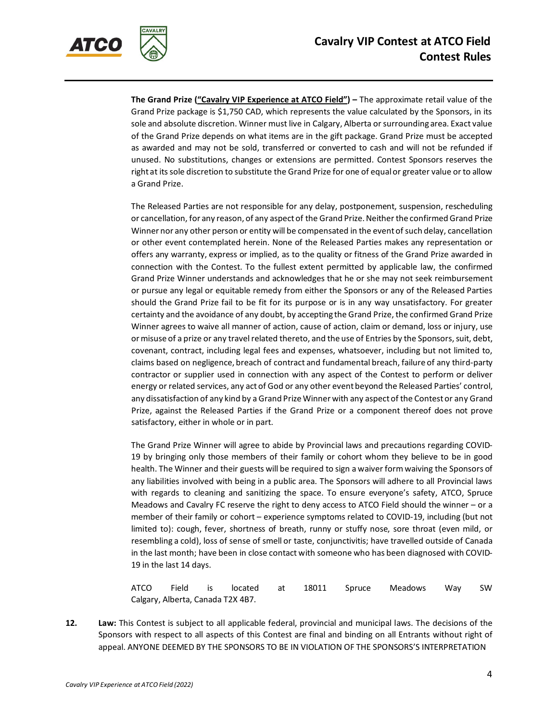

**The Grand Prize ("Cavalry VIP Experience at ATCO Field") –** The approximate retail value of the Grand Prize package is \$1,750 CAD, which represents the value calculated by the Sponsors, in its sole and absolute discretion. Winner must live in Calgary, Alberta or surrounding area. Exact value of the Grand Prize depends on what items are in the gift package. Grand Prize must be accepted as awarded and may not be sold, transferred or converted to cash and will not be refunded if unused. No substitutions, changes or extensions are permitted. Contest Sponsors reserves the right at itssole discretion to substitute the Grand Prize for one of equalor greater value or to allow a Grand Prize.

The Released Parties are not responsible for any delay, postponement, suspension, rescheduling or cancellation, for any reason, of any aspect of the Grand Prize. Neither the confirmed Grand Prize Winner nor any other person or entity will be compensated in the event of such delay, cancellation or other event contemplated herein. None of the Released Parties makes any representation or offers any warranty, express or implied, as to the quality or fitness of the Grand Prize awarded in connection with the Contest. To the fullest extent permitted by applicable law, the confirmed Grand Prize Winner understands and acknowledges that he or she may not seek reimbursement or pursue any legal or equitable remedy from either the Sponsors or any of the Released Parties should the Grand Prize fail to be fit for its purpose or is in any way unsatisfactory. For greater certainty and the avoidance of any doubt, by accepting the Grand Prize, the confirmed Grand Prize Winner agrees to waive all manner of action, cause of action, claim or demand, loss or injury, use or misuse of a prize or any travel related thereto, and the use of Entries by the Sponsors, suit, debt, covenant, contract, including legal fees and expenses, whatsoever, including but not limited to, claims based on negligence, breach of contract and fundamental breach, failure of any third-party contractor or supplier used in connection with any aspect of the Contest to perform or deliver energy or related services, any actof God or any other eventbeyond the Released Parties' control, any dissatisfaction of any kind by a Grand Prize Winner with any aspect of the Contest or any Grand Prize, against the Released Parties if the Grand Prize or a component thereof does not prove satisfactory, either in whole or in part.

The Grand Prize Winner will agree to abide by Provincial laws and precautions regarding COVID-19 by bringing only those members of their family or cohort whom they believe to be in good health. The Winner and their guests will be required to sign a waiver form waiving the Sponsors of any liabilities involved with being in a public area. The Sponsors will adhere to all Provincial laws with regards to cleaning and sanitizing the space. To ensure everyone's safety, ATCO, Spruce Meadows and Cavalry FC reserve the right to deny access to ATCO Field should the winner – or a member of their family or cohort – experience symptoms related to COVID-19, including (but not limited to): cough, fever, shortness of breath, runny or stuffy nose, sore throat (even mild, or resembling a cold), loss of sense of smell or taste, conjunctivitis; have travelled outside of Canada in the last month; have been in close contact with someone who has been diagnosed with COVID-19 in the last 14 days.

ATCO Field is located at 18011 Spruce Meadows Way SW Calgary, Alberta, Canada T2X 4B7.

**12. Law:** This Contest is subject to all applicable federal, provincial and municipal laws. The decisions of the Sponsors with respect to all aspects of this Contest are final and binding on all Entrants without right of appeal. ANYONE DEEMED BY THE SPONSORS TO BE IN VIOLATION OF THE SPONSORS'S INTERPRETATION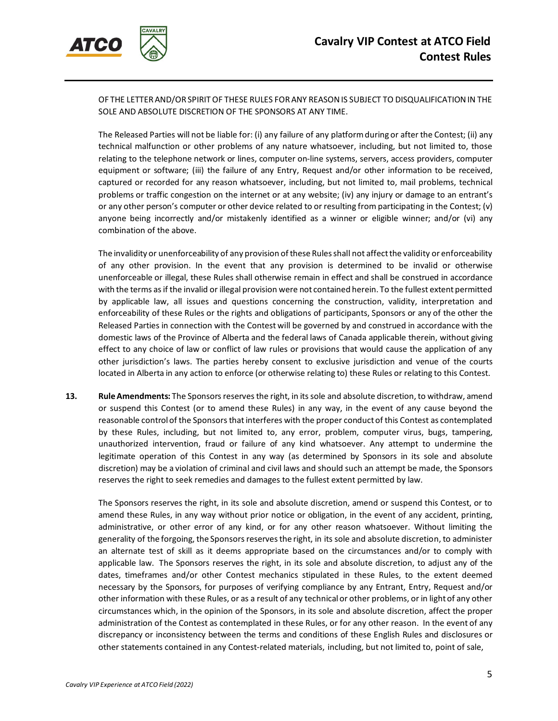

OF THE LETTERAND/OR SPIRITOF THESE RULES FORANY REASONIS SUBJECT TO DISQUALIFICATIONIN THE SOLE AND ABSOLUTE DISCRETION OF THE SPONSORS AT ANY TIME.

The Released Parties will not be liable for: (i) any failure of any platformduring or after the Contest; (ii) any technical malfunction or other problems of any nature whatsoever, including, but not limited to, those relating to the telephone network or lines, computer on-line systems, servers, access providers, computer equipment or software; (iii) the failure of any Entry, Request and/or other information to be received, captured or recorded for any reason whatsoever, including, but not limited to, mail problems, technical problems or traffic congestion on the internet or at any website; (iv) any injury or damage to an entrant's or any other person's computer or other device related to or resulting from participating in the Contest; (v) anyone being incorrectly and/or mistakenly identified as a winner or eligible winner; and/or (vi) any combination of the above.

The invalidity or unenforceability of any provision of these Rules shall not affect the validity or enforceability of any other provision. In the event that any provision is determined to be invalid or otherwise unenforceable or illegal, these Rules shall otherwise remain in effect and shall be construed in accordance with the terms as if the invalid or illegal provision were not contained herein. To the fullest extent permitted by applicable law, all issues and questions concerning the construction, validity, interpretation and enforceability of these Rules or the rights and obligations of participants, Sponsors or any of the other the Released Parties in connection with the Contest will be governed by and construed in accordance with the domestic laws of the Province of Alberta and the federal laws of Canada applicable therein, without giving effect to any choice of law or conflict of law rules or provisions that would cause the application of any other jurisdiction's laws. The parties hereby consent to exclusive jurisdiction and venue of the courts located in Alberta in any action to enforce (or otherwise relating to) these Rules or relating to this Contest.

**13. Rule Amendments:** The Sponsors reserves the right, in its sole and absolute discretion, to withdraw, amend or suspend this Contest (or to amend these Rules) in any way, in the event of any cause beyond the reasonable control of the Sponsors that interferes with the proper conduct of this Contest as contemplated by these Rules, including, but not limited to, any error, problem, computer virus, bugs, tampering, unauthorized intervention, fraud or failure of any kind whatsoever. Any attempt to undermine the legitimate operation of this Contest in any way (as determined by Sponsors in its sole and absolute discretion) may be a violation of criminal and civil laws and should such an attempt be made, the Sponsors reserves the right to seek remedies and damages to the fullest extent permitted by law.

The Sponsors reserves the right, in its sole and absolute discretion, amend or suspend this Contest, or to amend these Rules, in any way without prior notice or obligation, in the event of any accident, printing, administrative, or other error of any kind, or for any other reason whatsoever. Without limiting the generality of the forgoing, the Sponsors reserves the right, in its sole and absolute discretion, to administer an alternate test of skill as it deems appropriate based on the circumstances and/or to comply with applicable law. The Sponsors reserves the right, in its sole and absolute discretion, to adjust any of the dates, timeframes and/or other Contest mechanics stipulated in these Rules, to the extent deemed necessary by the Sponsors, for purposes of verifying compliance by any Entrant, Entry, Request and/or other information with these Rules, or as a result of any technicalor other problems, or in lightof any other circumstances which, in the opinion of the Sponsors, in its sole and absolute discretion, affect the proper administration of the Contest as contemplated in these Rules, or for any other reason. In the event of any discrepancy or inconsistency between the terms and conditions of these English Rules and disclosures or other statements contained in any Contest-related materials, including, but not limited to, point of sale,